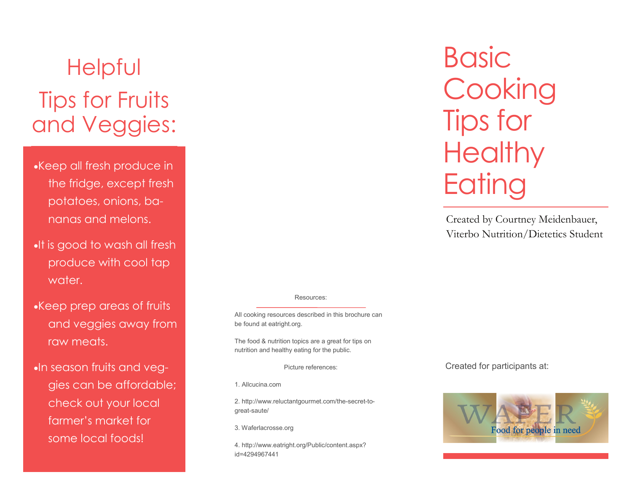# Helpful Tips for Fruits and Veggies:

Keep all fresh produce in the fridge, except fresh potatoes, onions, bananas and melons.

- **.** It is good to wash all fresh produce with cool tap water.
- Keep prep areas of fruits and veggies away from raw meats.

**In season fruits and veg**gies can be affordable; check out your local farmer's market for some local foods!

#### Resources:

All cooking resources described in this brochure can be found at eatright.org.

The food & nutrition topics are a great for tips on nutrition and healthy eating for the public.

Picture references:

1. Allcucina.com

2. http://www.reluctantgourmet.com/the -secret -to great -saute/

3. Waferlacrosse.org

4. http://www.eatright.org/Public/content.aspx? id=4294967441

**Basic Cooking** Tips for **Healthy Eating** 

Created by Courtney Meidenbauer, Viterbo Nutrition/Dietetics Student

Created for participants at:

l